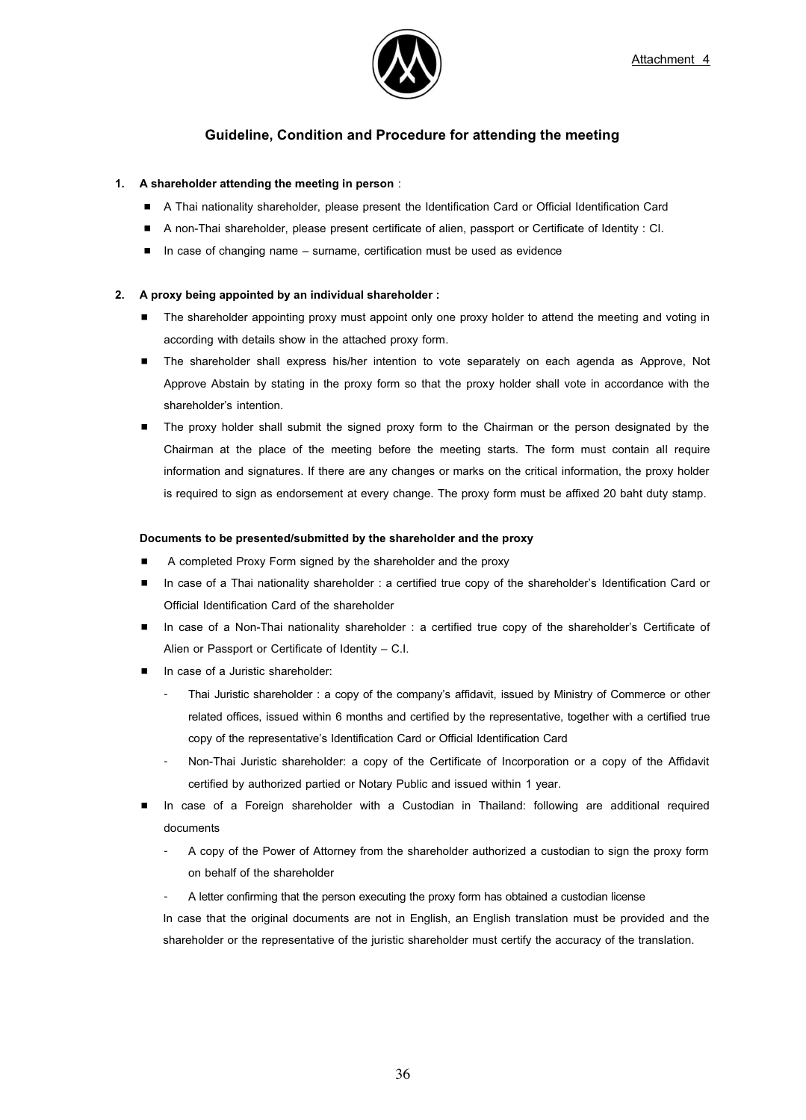

# **Guideline, Condition and Procedure for attending the meeting**

## **1. A shareholder attending the meeting in person** :

- A Thai nationality shareholder, please present the Identification Card or Official Identification Card
- A non-Thai shareholder, please present certificate of alien, passport or Certificate of Identity : CI.
- -In case of changing name – surname, certification must be used as evidence

## **2. A proxy being appointed by an individual shareholder :**

- $\blacksquare$  The shareholder appointing proxy must appoint only one proxy holder to attend the meeting and voting in according with details show in the attached proxy form.
- **The shareholder shall express his/her intention to vote separately on each agenda as Approve, Not** Approve Abstain by stating in the proxy form so that the proxy holder shall vote in accordance with the shareholder's intention.
- $\blacksquare$  The proxy holder shall submit the signed proxy form to the Chairman or the person designated by the Chairman at the place of the meeting before the meeting starts. The form must contain all require information and signatures. If there are any changes or marks on the critical information, the proxy holder is required to sign as endorsement at every change. The proxy form must be affixed 20 baht duty stamp.

#### **Documents to be presented/submitted by the shareholder and the proxy**

- -A completed Proxy Form signed by the shareholder and the proxy
- In case of a Thai nationality shareholder : a certified true copy of the shareholder's Identification Card or Official Identification Card of the shareholder
- In case of a Non-Thai nationality shareholder : a certified true copy of the shareholder's Certificate of Alien or Passport or Certificate of Identity – C.I.
- **n** In case of a Juristic shareholder:
	- Thai Juristic shareholder : a copy of the company's affidavit, issued by Ministry of Commerce or other related offices, issued within 6 months and certified by the representative, together with a certified true copy of the representative's Identification Card or Official Identification Card
	- Non-Thai Juristic shareholder: a copy of the Certificate of Incorporation or a copy of the Affidavit certified by authorized partied or Notary Public and issued within 1 year.
- - In case of a Foreign shareholder with a Custodian in Thailand: following are additional required documents
	- A copy of the Power of Attorney from the shareholder authorized a custodian to sign the proxy form on behalf of the shareholder
	- A letter confirming that the person executing the proxy form has obtained a custodian license

In case that the original documents are not in English, an English translation must be provided and the shareholder or the representative of the juristic shareholder must certify the accuracy of the translation.